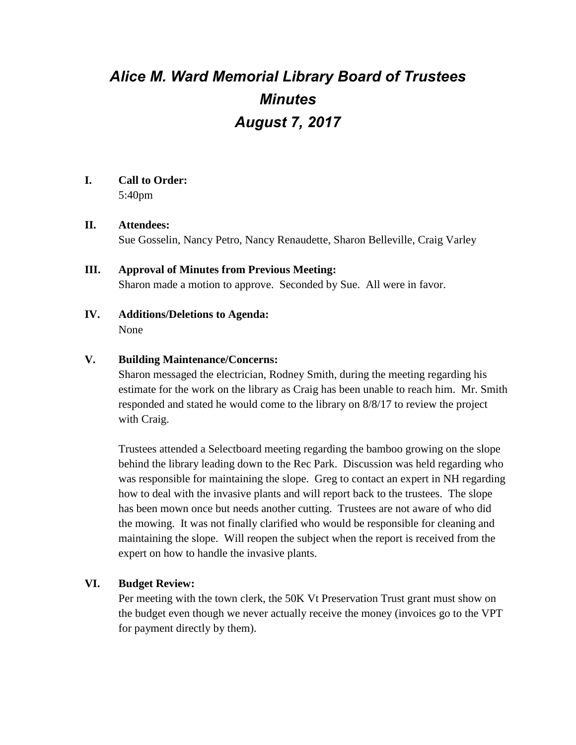# *Alice M. Ward Memorial Library Board of Trustees Minutes August 7, 2017*

## **I. Call to Order:**

5:40pm

## **II. Attendees:**

Sue Gosselin, Nancy Petro, Nancy Renaudette, Sharon Belleville, Craig Varley

## **III. Approval of Minutes from Previous Meeting:**

Sharon made a motion to approve. Seconded by Sue. All were in favor.

**IV. Additions/Deletions to Agenda:** None

## **V. Building Maintenance/Concerns:**

Sharon messaged the electrician, Rodney Smith, during the meeting regarding his estimate for the work on the library as Craig has been unable to reach him. Mr. Smith responded and stated he would come to the library on 8/8/17 to review the project with Craig.

Trustees attended a Selectboard meeting regarding the bamboo growing on the slope behind the library leading down to the Rec Park. Discussion was held regarding who was responsible for maintaining the slope. Greg to contact an expert in NH regarding how to deal with the invasive plants and will report back to the trustees. The slope has been mown once but needs another cutting. Trustees are not aware of who did the mowing. It was not finally clarified who would be responsible for cleaning and maintaining the slope. Will reopen the subject when the report is received from the expert on how to handle the invasive plants.

## **VI. Budget Review:**

Per meeting with the town clerk, the 50K Vt Preservation Trust grant must show on the budget even though we never actually receive the money (invoices go to the VPT for payment directly by them).